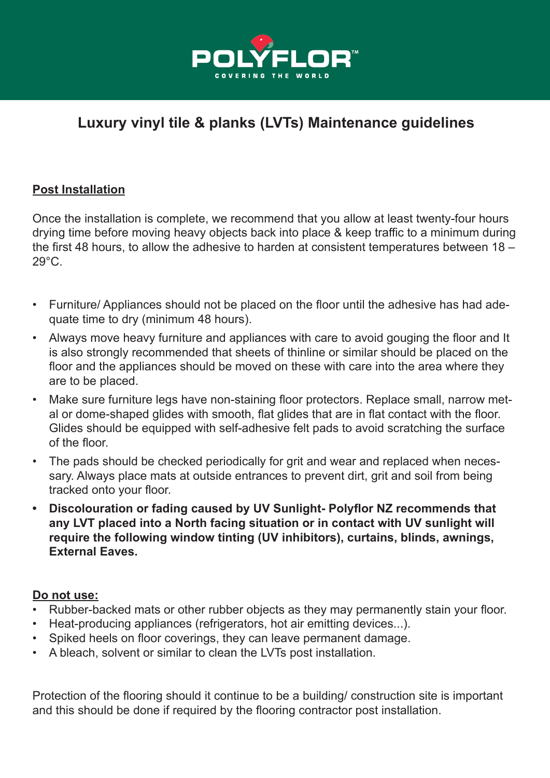

# **Luxury vinyl tile & planks (LVTs) Maintenance guidelines**

# **Post Installation**

Once the installation is complete, we recommend that you allow at least twenty-four hours drying time before moving heavy objects back into place & keep traffic to a minimum during the first 48 hours, to allow the adhesive to harden at consistent temperatures between 18 – 29°C.

- Furniture/ Appliances should not be placed on the floor until the adhesive has had adequate time to dry (minimum 48 hours).
- Always move heavy furniture and appliances with care to avoid gouging the floor and It is also strongly recommended that sheets of thinline or similar should be placed on the floor and the appliances should be moved on these with care into the area where they are to be placed.
- Make sure furniture legs have non-staining floor protectors. Replace small, narrow metal or dome-shaped glides with smooth, flat glides that are in flat contact with the floor. Glides should be equipped with self-adhesive felt pads to avoid scratching the surface of the floor.
- The pads should be checked periodically for grit and wear and replaced when necessary. Always place mats at outside entrances to prevent dirt, grit and soil from being tracked onto your floor.
- **• Discolouration or fading caused by UV Sunlight- Polyflor NZ recommends that any LVT placed into a North facing situation or in contact with UV sunlight will require the following window tinting (UV inhibitors), curtains, blinds, awnings, External Eaves.**

# **Do not use:**

- Rubber-backed mats or other rubber objects as they may permanently stain your floor.
- Heat-producing appliances (refrigerators, hot air emitting devices...).
- Spiked heels on floor coverings, they can leave permanent damage.
- A bleach, solvent or similar to clean the LVTs post installation.

Protection of the flooring should it continue to be a building/ construction site is important and this should be done if required by the flooring contractor post installation.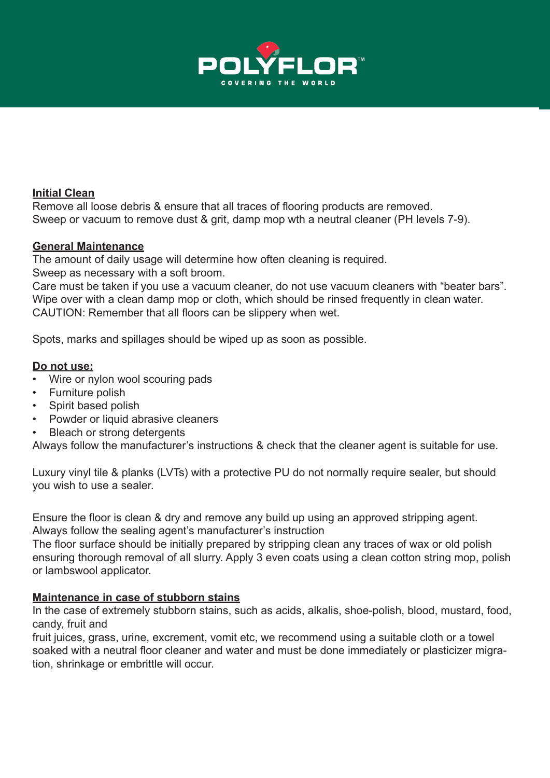

#### **Initial Clean**

Remove all loose debris & ensure that all traces of flooring products are removed. Sweep or vacuum to remove dust & grit, damp mop wth a neutral cleaner (PH levels 7-9).

#### **General Maintenance**

The amount of daily usage will determine how often cleaning is required. Sweep as necessary with a soft broom.

Care must be taken if you use a vacuum cleaner, do not use vacuum cleaners with "beater bars". Wipe over with a clean damp mop or cloth, which should be rinsed frequently in clean water. CAUTION: Remember that all floors can be slippery when wet.

Spots, marks and spillages should be wiped up as soon as possible.

#### **Do not use:**

- Wire or nylon wool scouring pads
- Furniture polish
- Spirit based polish
- Powder or liquid abrasive cleaners
- **Bleach or strong detergents**

Always follow the manufacturer's instructions & check that the cleaner agent is suitable for use.

Luxury vinyl tile & planks (LVTs) with a protective PU do not normally require sealer, but should you wish to use a sealer.

Ensure the floor is clean & dry and remove any build up using an approved stripping agent. Always follow the sealing agent's manufacturer's instruction

The floor surface should be initially prepared by stripping clean any traces of wax or old polish ensuring thorough removal of all slurry. Apply 3 even coats using a clean cotton string mop, polish or lambswool applicator.

#### **Maintenance in case of stubborn stains**

In the case of extremely stubborn stains, such as acids, alkalis, shoe-polish, blood, mustard, food, candy, fruit and

fruit juices, grass, urine, excrement, vomit etc, we recommend using a suitable cloth or a towel soaked with a neutral floor cleaner and water and must be done immediately or plasticizer migration, shrinkage or embrittle will occur.